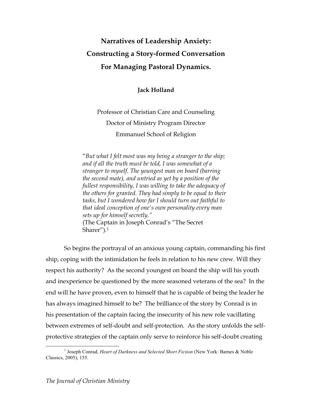# **Narratives of Leadership Anxiety: Constructing a Story-formed Conversation For Managing Pastoral Dynamics.**

**Jack Holland**

# Professor of Christian Care and Counseling Doctor of Ministry Program Director Emmanuel School of Religion

"*But what I felt most was my being a stranger to the ship; and if all the truth must be told, I was somewhat of a stranger to myself. The youngest man on board (barring the second mate), and untried as yet by a position of the fullest responsibility, I was willing to take the adequacy of the others for granted. They had simply to be equal to their tasks, but I wondered how far I should turn out faithful to that ideal conception of one's own personality every man sets up for himself secretly."*  (The Captain in Joseph Conrad's "The Secret Sharer").1

So begins the portrayal of an anxious young captain, commanding his first ship, coping with the intimidation he feels in relation to his new crew. Will they respect his authority? As the second youngest on board the ship will his youth and inexperience be questioned by the more seasoned veterans of the sea? In the end will he have proven, even to himself that he is capable of being the leader he has always imagined himself to be? The brilliance of the story by Conrad is in his presentation of the captain facing the insecurity of his new role vacillating between extremes of self-doubt and self-protection. As the story unfolds the selfprotective strategies of the captain only serve to reinforce his self-doubt creating

 $\frac{1}{1}$ <sup>1</sup> Joseph Conrad, *Heart of Darkness and Selected Short Fiction* (New York: Barnes & Noble Classics, 2005), 155.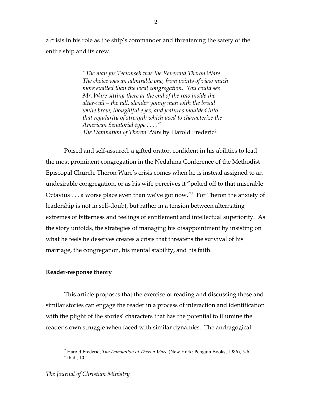a crisis in his role as the ship's commander and threatening the safety of the entire ship and its crew.

> *"The man for Tecumseh was the Reverend Theron Ware. The choice was an admirable one, from points of view much more exalted than the local congregation. You could see Mr. Ware sitting there at the end of the row inside the altar-rail – the tall, slender young man with the broad white brow, thoughtful eyes, and features moulded into that regularity of strength which used to characterize the American Senatorial type . . . ." The Damnation of Theron Ware* by Harold Frederic2

Poised and self-assured, a gifted orator, confident in his abilities to lead the most prominent congregation in the Nedahma Conference of the Methodist Episcopal Church, Theron Ware's crisis comes when he is instead assigned to an undesirable congregation, or as his wife perceives it "poked off to that miserable Octavius . . . a worse place even than we've got now."3 For Theron the anxiety of leadership is not in self-doubt, but rather in a tension between alternating extremes of bitterness and feelings of entitlement and intellectual superiority. As the story unfolds, the strategies of managing his disappointment by insisting on what he feels he deserves creates a crisis that threatens the survival of his marriage, the congregation, his mental stability, and his faith.

### **Reader-response theory**

This article proposes that the exercise of reading and discussing these and similar stories can engage the reader in a process of interaction and identification with the plight of the stories' characters that has the potential to illumine the reader's own struggle when faced with similar dynamics. The andragogical

 $\overline{\phantom{a}}$ <sup>2</sup> Harold Frederic, *The Damnation of Theron Ware* (New York: Penguin Books, 1986), 5-6.  $3$  Ibid., 10.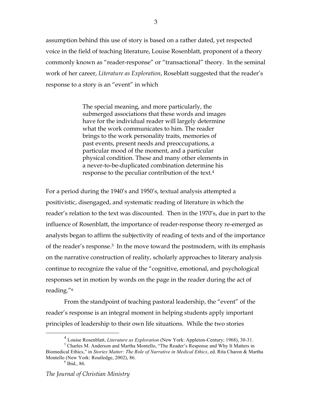assumption behind this use of story is based on a rather dated, yet respected voice in the field of teaching literature, Louise Rosenblatt, proponent of a theory commonly known as "reader-response" or "transactional" theory. In the seminal work of her career, *Literature as Exploration*, Roseblatt suggested that the reader's response to a story is an "event" in which

> The special meaning, and more particularly, the submerged associations that these words and images have for the individual reader will largely determine what the work communicates to him. The reader brings to the work personality traits, memories of past events, present needs and preoccupations, a particular mood of the moment, and a particular physical condition. These and many other elements in a never-to-be-duplicated combination determine his response to the peculiar contribution of the text.4

For a period during the 1940's and 1950's, textual analysis attempted a positivistic, disengaged, and systematic reading of literature in which the reader's relation to the text was discounted. Then in the 1970's, due in part to the influence of Rosenblatt, the importance of reader-response theory re-emerged as analysts began to affirm the subjectivity of reading of texts and of the importance of the reader's response.<sup>5</sup> In the move toward the postmodern, with its emphasis on the narrative construction of reality, scholarly approaches to literary analysis continue to recognize the value of the "cognitive, emotional, and psychological responses set in motion by words on the page in the reader during the act of reading."6

From the standpoint of teaching pastoral leadership, the "event" of the reader's response is an integral moment in helping students apply important principles of leadership to their own life situations. While the two stories

 $\overline{4}$ Louise Rosenblatt, *Literature as Exploration* (New York: Appleton-Century; 1968), 30-31.

<sup>&</sup>lt;sup>5</sup> Charles M. Anderson and Martha Montello, "The Reader's Response and Why It Matters in Biomedical Ethics," in *Stories Matter: The Role of Narrative in Medical Ethics*, ed. Rita Charon & Martha Montello (New York: Routledge, 2002), 86.

 $6$  Ibid., 86.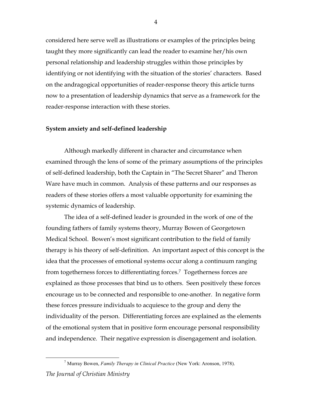considered here serve well as illustrations or examples of the principles being taught they more significantly can lead the reader to examine her/his own personal relationship and leadership struggles within those principles by identifying or not identifying with the situation of the stories' characters. Based on the andragogical opportunities of reader-response theory this article turns now to a presentation of leadership dynamics that serve as a framework for the reader-response interaction with these stories.

#### **System anxiety and self-defined leadership**

Although markedly different in character and circumstance when examined through the lens of some of the primary assumptions of the principles of self-defined leadership, both the Captain in "The Secret Sharer" and Theron Ware have much in common. Analysis of these patterns and our responses as readers of these stories offers a most valuable opportunity for examining the systemic dynamics of leadership.

The idea of a self-defined leader is grounded in the work of one of the founding fathers of family systems theory, Murray Bowen of Georgetown Medical School. Bowen's most significant contribution to the field of family therapy is his theory of self-definition. An important aspect of this concept is the idea that the processes of emotional systems occur along a continuum ranging from togetherness forces to differentiating forces.7 Togetherness forces are explained as those processes that bind us to others. Seen positively these forces encourage us to be connected and responsible to one-another. In negative form these forces pressure individuals to acquiesce to the group and deny the individuality of the person. Differentiating forces are explained as the elements of the emotional system that in positive form encourage personal responsibility and independence. Their negative expression is disengagement and isolation.

*The Journal of Christian Ministry*  $\overline{\phantom{a}}$ Murray Bowen, *Family Therapy in Clinical Practice* (New York: Aronson, 1978).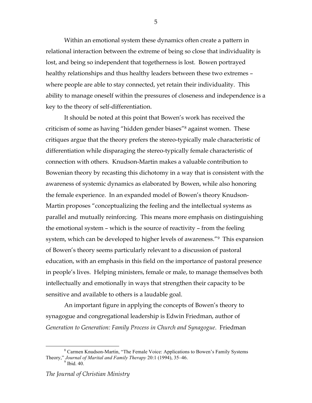Within an emotional system these dynamics often create a pattern in relational interaction between the extreme of being so close that individuality is lost, and being so independent that togetherness is lost. Bowen portrayed healthy relationships and thus healthy leaders between these two extremes – where people are able to stay connected, yet retain their individuality. This ability to manage oneself within the pressures of closeness and independence is a key to the theory of self-differentiation.

It should be noted at this point that Bowen's work has received the criticism of some as having "hidden gender biases"8 against women. These critiques argue that the theory prefers the stereo-typically male characteristic of differentiation while disparaging the stereo-typically female characteristic of connection with others. Knudson-Martin makes a valuable contribution to Bowenian theory by recasting this dichotomy in a way that is consistent with the awareness of systemic dynamics as elaborated by Bowen, while also honoring the female experience. In an expanded model of Bowen's theory Knudson-Martin proposes "conceptualizing the feeling and the intellectual systems as parallel and mutually reinforcing. This means more emphasis on distinguishing the emotional system – which is the source of reactivity – from the feeling system, which can be developed to higher levels of awareness."<sup>9</sup> This expansion of Bowen's theory seems particularly relevant to a discussion of pastoral education, with an emphasis in this field on the importance of pastoral presence in people's lives. Helping ministers, female or male, to manage themselves both intellectually and emotionally in ways that strengthen their capacity to be sensitive and available to others is a laudable goal.

An important figure in applying the concepts of Bowen's theory to synagogue and congregational leadership is Edwin Friedman, author of *Generation to Generation: Family Process in Church and Synagogue*. Friedman

 $\frac{1}{8}$  Carmen Knudson-Martin, "The Female Voice: Applications to Bowen's Family Systems Theory," *Journal of Marital and Family Therapy* 20:1 (1994), 35–46.<br><sup>9</sup> Ibid. 40.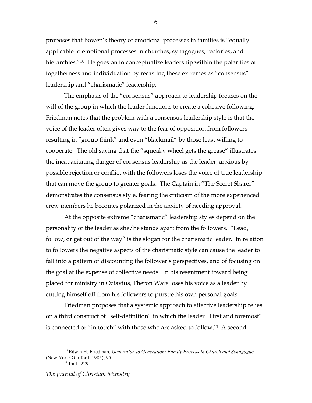proposes that Bowen's theory of emotional processes in families is "equally applicable to emotional processes in churches, synagogues, rectories, and hierarchies.<sup>"10</sup> He goes on to conceptualize leadership within the polarities of togetherness and individuation by recasting these extremes as "consensus" leadership and "charismatic" leadership.

The emphasis of the "consensus" approach to leadership focuses on the will of the group in which the leader functions to create a cohesive following. Friedman notes that the problem with a consensus leadership style is that the voice of the leader often gives way to the fear of opposition from followers resulting in "group think" and even "blackmail" by those least willing to cooperate. The old saying that the "squeaky wheel gets the grease" illustrates the incapacitating danger of consensus leadership as the leader, anxious by possible rejection or conflict with the followers loses the voice of true leadership that can move the group to greater goals. The Captain in "The Secret Sharer" demonstrates the consensus style, fearing the criticism of the more experienced crew members he becomes polarized in the anxiety of needing approval.

At the opposite extreme "charismatic" leadership styles depend on the personality of the leader as she/he stands apart from the followers. "Lead, follow, or get out of the way" is the slogan for the charismatic leader. In relation to followers the negative aspects of the charismatic style can cause the leader to fall into a pattern of discounting the follower's perspectives, and of focusing on the goal at the expense of collective needs. In his resentment toward being placed for ministry in Octavius, Theron Ware loses his voice as a leader by cutting himself off from his followers to pursue his own personal goals.

Friedman proposes that a systemic approach to effective leadership relies on a third construct of "self-definition" in which the leader "First and foremost" is connected or "in touch" with those who are asked to follow.11 A second

<sup>&</sup>lt;sup>10</sup> Edwin H. Friedman, *Generation to Generation: Family Process in Church and Synagogue* (New York: Guilford, 1985), 95.<br><sup>11</sup> Ibid., 229.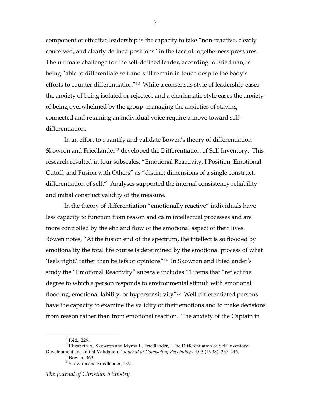component of effective leadership is the capacity to take "non-reactive, clearly conceived, and clearly defined positions" in the face of togetherness pressures. The ultimate challenge for the self-defined leader, according to Friedman, is being "able to differentiate self and still remain in touch despite the body's efforts to counter differentiation"12 While a consensus style of leadership eases the anxiety of being isolated or rejected, and a charismatic style eases the anxiety of being overwhelmed by the group, managing the anxieties of staying connected and retaining an individual voice require a move toward selfdifferentiation.

In an effort to quantify and validate Bowen's theory of differentiation Skowron and Friedlander<sup>13</sup> developed the Differentiation of Self Inventory. This research resulted in four subscales, "Emotional Reactivity, I Position, Emotional Cutoff, and Fusion with Others" as "distinct dimensions of a single construct, differentiation of self." Analyses supported the internal consistency reliability and initial construct validity of the measure.

In the theory of differentiation "emotionally reactive" individuals have less capacity to function from reason and calm intellectual processes and are more controlled by the ebb and flow of the emotional aspect of their lives. Bowen notes, "At the fusion end of the spectrum, the intellect is so flooded by emotionality the total life course is determined by the emotional process of what 'feels right,' rather than beliefs or opinions"14 In Skowron and Friedlander's study the "Emotional Reactivity" subscale includes 11 items that "reflect the degree to which a person responds to environmental stimuli with emotional flooding, emotional lability, or hypersensitivity"15 Well-differentiated persons have the capacity to examine the validity of their emotions and to make decisions from reason rather than from emotional reaction. The anxiety of the Captain in

 <sup>12</sup> Ibid., 229.

<sup>&</sup>lt;sup>13</sup> Elizabeth A. Skowron and Myrna L. Friedlander, "The Differentiation of Self Inventory: Development and Initial Validation," *Journal of Counseling Psychology* 45:3 (1998), 235-246.<br><sup>14</sup> Bowen, 363.

<sup>&</sup>lt;sup>15</sup> Skowron and Friedlander, 239.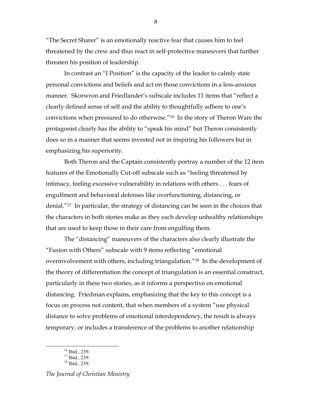"The Secret Sharer" is an emotionally reactive fear that causes him to feel threatened by the crew and thus react in self-protective maneuvers that further threaten his position of leadership.

In contrast an "I Position" is the capacity of the leader to calmly state personal convictions and beliefs and act on those convictions in a less-anxious manner. Skorwron and Friedlander's subscale includes 11 items that "reflect a clearly defined sense of self and the ability to thoughtfully adhere to one's convictions when pressured to do otherwise."16 In the story of Theron Ware the protagonist clearly has the ability to "speak his mind" but Theron consistently does so in a manner that seems invested not in inspiring his followers but in emphasizing his superiority.

Both Theron and the Captain consistently portray a number of the 12 item features of the Emotionally Cut-off subscale such as "feeling threatened by intimacy, feeling excessive vulnerability in relations with others . . . fears of engulfment and behavioral defenses like overfunctioning, distancing, or denial."17 In particular, the strategy of distancing can be seen in the choices that the characters in both stories make as they each develop unhealthy relationships that are used to keep those in their care from engulfing them.

The "distancing" maneuvers of the characters also clearly illustrate the "Fusion with Others" subscale with 9 items reflecting "emotional overinvolvement with others, including triangulation."18 In the development of the theory of differentiation the concept of triangulation is an essential construct, particularly in these two stories, as it informs a perspective on emotional distancing. Friedman explains, emphasizing that the key to this concept is a focus on process not content, that when members of a system "use physical distance to solve problems of emotional interdependency, the result is always temporary, or includes a transference of the problems to another relationship

 $16$  Ibid., 239.

 $17$  Ibid., 239.

 $18$  Ibid., 239.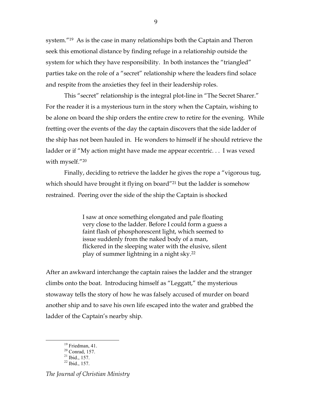system."19 As is the case in many relationships both the Captain and Theron seek this emotional distance by finding refuge in a relationship outside the system for which they have responsibility. In both instances the "triangled" parties take on the role of a "secret" relationship where the leaders find solace and respite from the anxieties they feel in their leadership roles.

This "secret" relationship is the integral plot-line in "The Secret Sharer." For the reader it is a mysterious turn in the story when the Captain, wishing to be alone on board the ship orders the entire crew to retire for the evening. While fretting over the events of the day the captain discovers that the side ladder of the ship has not been hauled in. He wonders to himself if he should retrieve the ladder or if "My action might have made me appear eccentric. . . I was vexed with myself."20

Finally, deciding to retrieve the ladder he gives the rope a "vigorous tug, which should have brought it flying on board"<sup>21</sup> but the ladder is somehow restrained. Peering over the side of the ship the Captain is shocked

> I saw at once something elongated and pale floating very close to the ladder. Before I could form a guess a faint flash of phosphorescent light, which seemed to issue suddenly from the naked body of a man, flickered in the sleeping water with the elusive, silent play of summer lightning in a night sky.22

After an awkward interchange the captain raises the ladder and the stranger climbs onto the boat. Introducing himself as "Leggatt," the mysterious stowaway tells the story of how he was falsely accused of murder on board another ship and to save his own life escaped into the water and grabbed the ladder of the Captain's nearby ship.

 $19$  Friedman, 41.

<sup>&</sup>lt;sup>20</sup> Conrad, 157.<br><sup>21</sup> Ibid., 157.<br><sup>22</sup> Ibid., 157.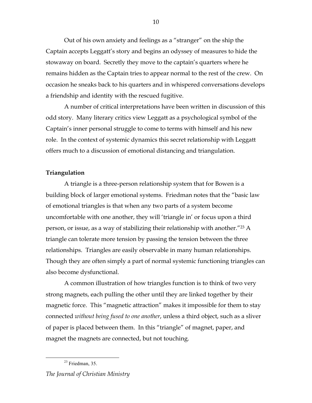Out of his own anxiety and feelings as a "stranger" on the ship the Captain accepts Leggatt's story and begins an odyssey of measures to hide the stowaway on board. Secretly they move to the captain's quarters where he remains hidden as the Captain tries to appear normal to the rest of the crew. On occasion he sneaks back to his quarters and in whispered conversations develops a friendship and identity with the rescued fugitive.

A number of critical interpretations have been written in discussion of this odd story. Many literary critics view Leggatt as a psychological symbol of the Captain's inner personal struggle to come to terms with himself and his new role. In the context of systemic dynamics this secret relationship with Leggatt offers much to a discussion of emotional distancing and triangulation.

#### **Triangulation**

A triangle is a three-person relationship system that for Bowen is a building block of larger emotional systems. Friedman notes that the "basic law of emotional triangles is that when any two parts of a system become uncomfortable with one another, they will 'triangle in' or focus upon a third person, or issue, as a way of stabilizing their relationship with another."23 A triangle can tolerate more tension by passing the tension between the three relationships. Triangles are easily observable in many human relationships. Though they are often simply a part of normal systemic functioning triangles can also become dysfunctional.

A common illustration of how triangles function is to think of two very strong magnets, each pulling the other until they are linked together by their magnetic force. This "magnetic attraction" makes it impossible for them to stay connected *without being fused to one another*, unless a third object, such as a sliver of paper is placed between them. In this "triangle" of magnet, paper, and magnet the magnets are connected, but not touching.

 $23$  Friedman, 35.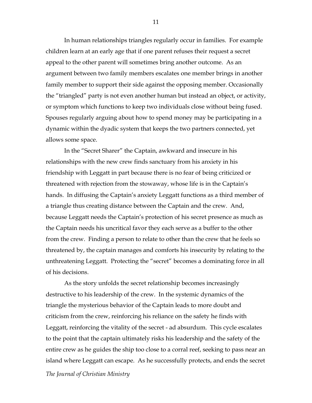In human relationships triangles regularly occur in families. For example children learn at an early age that if one parent refuses their request a secret appeal to the other parent will sometimes bring another outcome. As an argument between two family members escalates one member brings in another family member to support their side against the opposing member. Occasionally the "triangled" party is not even another human but instead an object, or activity, or symptom which functions to keep two individuals close without being fused. Spouses regularly arguing about how to spend money may be participating in a dynamic within the dyadic system that keeps the two partners connected, yet allows some space.

In the "Secret Sharer" the Captain, awkward and insecure in his relationships with the new crew finds sanctuary from his anxiety in his friendship with Leggatt in part because there is no fear of being criticized or threatened with rejection from the stowaway, whose life is in the Captain's hands. In diffusing the Captain's anxiety Leggatt functions as a third member of a triangle thus creating distance between the Captain and the crew. And, because Leggatt needs the Captain's protection of his secret presence as much as the Captain needs his uncritical favor they each serve as a buffer to the other from the crew. Finding a person to relate to other than the crew that he feels so threatened by, the captain manages and comforts his insecurity by relating to the unthreatening Leggatt. Protecting the "secret" becomes a dominating force in all of his decisions.

As the story unfolds the secret relationship becomes increasingly destructive to his leadership of the crew. In the systemic dynamics of the triangle the mysterious behavior of the Captain leads to more doubt and criticism from the crew, reinforcing his reliance on the safety he finds with Leggatt, reinforcing the vitality of the secret - ad absurdum. This cycle escalates to the point that the captain ultimately risks his leadership and the safety of the entire crew as he guides the ship too close to a corral reef, seeking to pass near an island where Leggatt can escape. As he successfully protects, and ends the secret

*The Journal of Christian Ministry*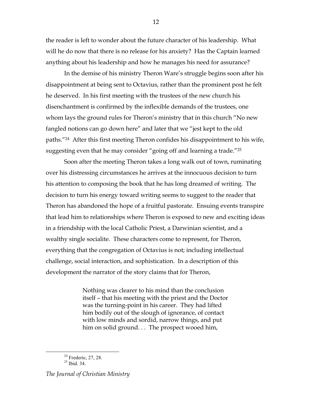the reader is left to wonder about the future character of his leadership. What will he do now that there is no release for his anxiety? Has the Captain learned anything about his leadership and how he manages his need for assurance?

In the demise of his ministry Theron Ware's struggle begins soon after his disappointment at being sent to Octavius, rather than the prominent post he felt he deserved. In his first meeting with the trustees of the new church his disenchantment is confirmed by the inflexible demands of the trustees, one whom lays the ground rules for Theron's ministry that in this church "No new fangled notions can go down here" and later that we "jest kept to the old paths."24 After this first meeting Theron confides his disappointment to his wife, suggesting even that he may consider "going off and learning a trade."25

Soon after the meeting Theron takes a long walk out of town, ruminating over his distressing circumstances he arrives at the innocuous decision to turn his attention to composing the book that he has long dreamed of writing. The decision to turn his energy toward writing seems to suggest to the reader that Theron has abandoned the hope of a fruitful pastorate. Ensuing events transpire that lead him to relationships where Theron is exposed to new and exciting ideas in a friendship with the local Catholic Priest, a Darwinian scientist, and a wealthy single socialite. These characters come to represent, for Theron, everything that the congregation of Octavius is not; including intellectual challenge, social interaction, and sophistication. In a description of this development the narrator of the story claims that for Theron,

> Nothing was clearer to his mind than the conclusion itself – that his meeting with the priest and the Doctor was the turning-point in his career. They had lifted him bodily out of the slough of ignorance, of contact with low minds and sordid, narrow things, and put him on solid ground. . . The prospect wooed him,

*The Journal of Christian Ministry*

 $24$  Frederic, 27, 28.

<sup>25</sup> Ibid. 34.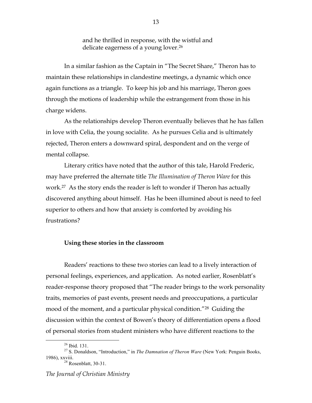and he thrilled in response, with the wistful and delicate eagerness of a young lover.26

In a similar fashion as the Captain in "The Secret Share," Theron has to maintain these relationships in clandestine meetings, a dynamic which once again functions as a triangle. To keep his job and his marriage, Theron goes through the motions of leadership while the estrangement from those in his charge widens.

As the relationships develop Theron eventually believes that he has fallen in love with Celia, the young socialite. As he pursues Celia and is ultimately rejected, Theron enters a downward spiral, despondent and on the verge of mental collapse.

Literary critics have noted that the author of this tale, Harold Frederic, may have preferred the alternate title *The Illumination of Theron Ware* for this work.27 As the story ends the reader is left to wonder if Theron has actually discovered anything about himself. Has he been illumined about is need to feel superior to others and how that anxiety is comforted by avoiding his frustrations?

#### **Using these stories in the classroom**

Readers' reactions to these two stories can lead to a lively interaction of personal feelings, experiences, and application. As noted earlier, Rosenblatt's reader-response theory proposed that "The reader brings to the work personality traits, memories of past events, present needs and preoccupations, a particular mood of the moment, and a particular physical condition."28 Guiding the discussion within the context of Bowen's theory of differentiation opens a flood of personal stories from student ministers who have different reactions to the

 $26$  Ibid. 131.

<sup>27</sup> S. Donaldson, "Introduction," in *The Damnation of Theron Ware* (New York: Penguin Books, 1986), xxviii. 28 Rosenblatt, 30-31.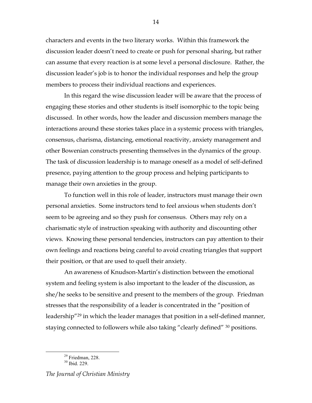characters and events in the two literary works. Within this framework the discussion leader doesn't need to create or push for personal sharing, but rather can assume that every reaction is at some level a personal disclosure. Rather, the discussion leader's job is to honor the individual responses and help the group members to process their individual reactions and experiences.

14

In this regard the wise discussion leader will be aware that the process of engaging these stories and other students is itself isomorphic to the topic being discussed. In other words, how the leader and discussion members manage the interactions around these stories takes place in a systemic process with triangles, consensus, charisma, distancing, emotional reactivity, anxiety management and other Bowenian constructs presenting themselves in the dynamics of the group. The task of discussion leadership is to manage oneself as a model of self-defined presence, paying attention to the group process and helping participants to manage their own anxieties in the group.

To function well in this role of leader, instructors must manage their own personal anxieties. Some instructors tend to feel anxious when students don't seem to be agreeing and so they push for consensus. Others may rely on a charismatic style of instruction speaking with authority and discounting other views. Knowing these personal tendencies, instructors can pay attention to their own feelings and reactions being careful to avoid creating triangles that support their position, or that are used to quell their anxiety.

An awareness of Knudson-Martin's distinction between the emotional system and feeling system is also important to the leader of the discussion, as she/he seeks to be sensitive and present to the members of the group. Friedman stresses that the responsibility of a leader is concentrated in the "position of leadership"29 in which the leader manages that position in a self-defined manner, staying connected to followers while also taking "clearly defined" <sup>30</sup> positions.

*The Journal of Christian Ministry*

<sup>&</sup>lt;sup>29</sup> Friedman, 228.

<sup>30</sup> Ibid. 229.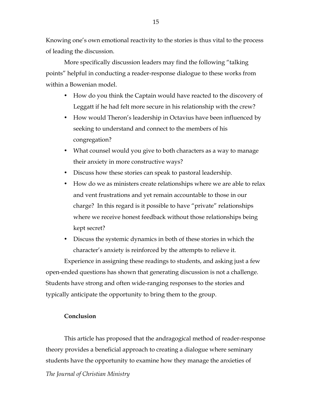Knowing one's own emotional reactivity to the stories is thus vital to the process of leading the discussion.

More specifically discussion leaders may find the following "talking points" helpful in conducting a reader-response dialogue to these works from within a Bowenian model.

- How do you think the Captain would have reacted to the discovery of Leggatt if he had felt more secure in his relationship with the crew?
- How would Theron's leadership in Octavius have been influenced by seeking to understand and connect to the members of his congregation?
- What counsel would you give to both characters as a way to manage their anxiety in more constructive ways?
- Discuss how these stories can speak to pastoral leadership.
- How do we as ministers create relationships where we are able to relax and vent frustrations and yet remain accountable to those in our charge? In this regard is it possible to have "private" relationships where we receive honest feedback without those relationships being kept secret?
- Discuss the systemic dynamics in both of these stories in which the character's anxiety is reinforced by the attempts to relieve it.

Experience in assigning these readings to students, and asking just a few open-ended questions has shown that generating discussion is not a challenge. Students have strong and often wide-ranging responses to the stories and typically anticipate the opportunity to bring them to the group.

## **Conclusion**

*The Journal of Christian Ministry* This article has proposed that the andragogical method of reader-response theory provides a beneficial approach to creating a dialogue where seminary students have the opportunity to examine how they manage the anxieties of